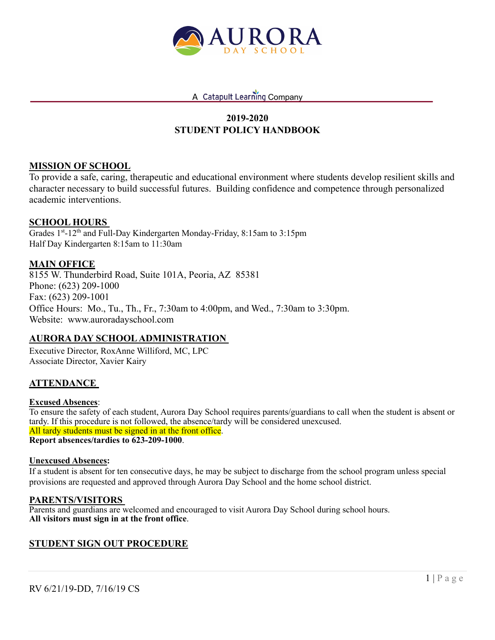

# **2019-2020 STUDENT POLICY HANDBOOK**

### **MISSION OF SCHOOL**

To provide a safe, caring, therapeutic and educational environment where students develop resilient skills and character necessary to build successful futures. Building confidence and competence through personalized academic interventions.

### **SCHOOL HOURS**

Grades 1<sup>st</sup>-12<sup>th</sup> and Full-Day Kindergarten Monday-Friday, 8:15am to 3:15pm Half Day Kindergarten 8:15am to 11:30am

### **MAIN OFFICE**

8155 W. Thunderbird Road, Suite 101A, Peoria, AZ 85381 Phone: (623) 209-1000 Fax: (623) 209-1001 Office Hours: Mo., Tu., Th., Fr., 7:30am to 4:00pm, and Wed., 7:30am to 3:30pm. Website: www.auroradayschool.com

### **AURORA DAY SCHOOLADMINISTRATION**

Executive Director, RoxAnne Williford, MC, LPC Associate Director, Xavier Kairy

### **ATTENDANCE**

#### **Excused Absences**:

To ensure the safety of each student, Aurora Day School requires parents/guardians to call when the student is absent or tardy. If this procedure is not followed, the absence/tardy will be considered unexcused. All tardy students must be signed in at the front office. **Report absences/tardies to 623-209-1000**.

#### **Unexcused Absences:**

If a student is absent for ten consecutive days, he may be subject to discharge from the school program unless special provisions are requested and approved through Aurora Day School and the home school district.

#### **PARENTS/VISITORS**

Parents and guardians are welcomed and encouraged to visit Aurora Day School during school hours. **All visitors must sign in at the front office**.

### **STUDENT SIGN OUT PROCEDURE**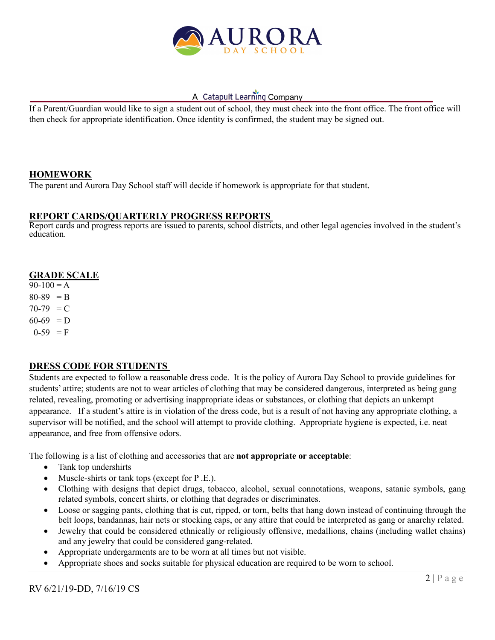

If a Parent/Guardian would like to sign a student out of school, they must check into the front office. The front office will then check for appropriate identification. Once identity is confirmed, the student may be signed out.

### **HOMEWORK**

The parent and Aurora Day School staff will decide if homework is appropriate for that student.

### **REPORT CARDS/QUARTERLY PROGRESS REPORTS**

Report cards and progress reports are issued to parents, school districts, and other legal agencies involved in the student's education.

### **GRADE SCALE**

 $90-100 = A$  $80-89 = B$  $70-79 = C$  $60-69$  = D  $0-59 = F$ 

## **DRESS CODE FOR STUDENTS**

Students are expected to follow a reasonable dress code. It is the policy of Aurora Day School to provide guidelines for students' attire; students are not to wear articles of clothing that may be considered dangerous, interpreted as being gang related, revealing, promoting or advertising inappropriate ideas or substances, or clothing that depicts an unkempt appearance. If a student's attire is in violation of the dress code, but is a result of not having any appropriate clothing, a supervisor will be notified, and the school will attempt to provide clothing. Appropriate hygiene is expected, i.e. neat appearance, and free from offensive odors.

The following is a list of clothing and accessories that are **not appropriate or acceptable**:

- Tank top undershirts
- Muscle-shirts or tank tops (except for P.E.).
- Clothing with designs that depict drugs, tobacco, alcohol, sexual connotations, weapons, satanic symbols, gang related symbols, concert shirts, or clothing that degrades or discriminates.
- Loose or sagging pants, clothing that is cut, ripped, or torn, belts that hang down instead of continuing through the belt loops, bandannas, hair nets or stocking caps, or any attire that could be interpreted as gang or anarchy related.
- Jewelry that could be considered ethnically or religiously offensive, medallions, chains (including wallet chains) and any jewelry that could be considered gang-related.
- Appropriate undergarments are to be worn at all times but not visible.
- Appropriate shoes and socks suitable for physical education are required to be worn to school.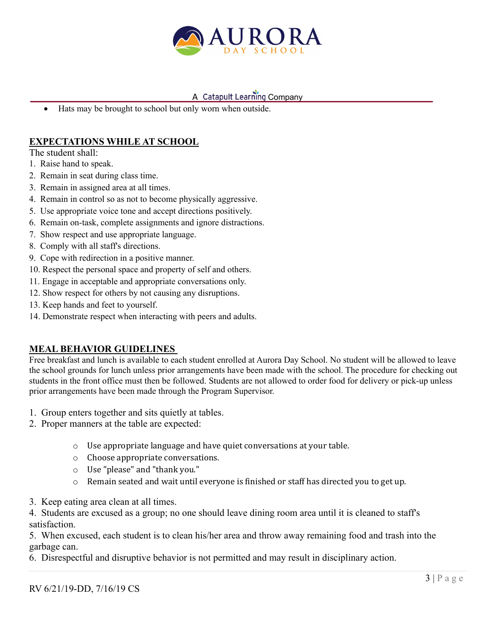

• Hats may be brought to school but only worn when outside.

## **EXPECTATIONS WHILE AT SCHOOL**

The student shall:

- 1. Raise hand to speak.
- 2. Remain in seat during class time.
- 3. Remain in assigned area at all times.
- 4. Remain in control so as not to become physically aggressive.
- 5. Use appropriate voice tone and accept directions positively.
- 6. Remain on-task, complete assignments and ignore distractions.
- 7. Show respect and use appropriate language.
- 8. Comply with all staff's directions.
- 9. Cope with redirection in a positive manner.
- 10. Respect the personal space and property of self and others.
- 11. Engage in acceptable and appropriate conversations only.
- 12. Show respect for others by not causing any disruptions.
- 13. Keep hands and feet to yourself.
- 14. Demonstrate respect when interacting with peers and adults.

## **MEAL BEHAVIOR GUIDELINES**

Free breakfast and lunch is available to each student enrolled at Aurora Day School. No student will be allowed to leave the school grounds for lunch unless prior arrangements have been made with the school. The procedure for checking out students in the front office must then be followed. Students are not allowed to order food for delivery or pick-up unless prior arrangements have been made through the Program Supervisor.

- 1. Group enters together and sits quietly at tables.
- 2. Proper manners at the table are expected:
	- $\circ$  Use appropriate language and have quiet conversations at your table.
	- o Choose appropriate conversations.
	- o Use "please" and "thank you."
	- $\circ$  Remain seated and wait until everyone is finished or staff has directed you to get up.
- 3. Keep eating area clean at all times.

4. Students are excused as a group; no one should leave dining room area until it is cleaned to staff's satisfaction.

5. When excused, each student is to clean his/her area and throw away remaining food and trash into the garbage can.

6. Disrespectful and disruptive behavior is not permitted and may result in disciplinary action.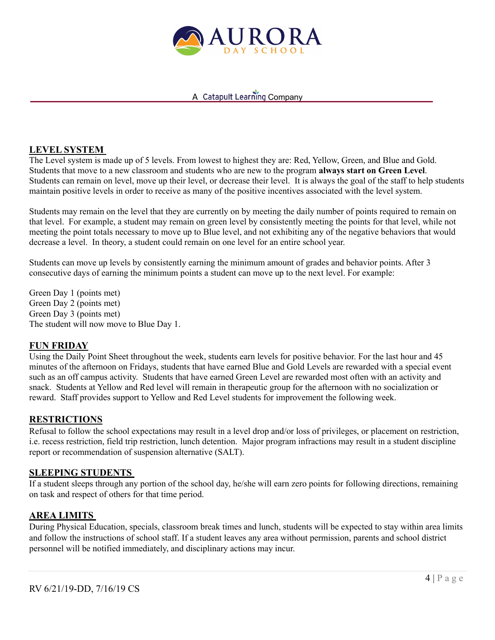

### **LEVEL SYSTEM**

The Level system is made up of 5 levels. From lowest to highest they are: Red, Yellow, Green, and Blue and Gold. Students that move to a new classroom and students who are new to the program **always start on Green Level**. Students can remain on level, move up their level, or decrease their level. It is always the goal of the staff to help students maintain positive levels in order to receive as many of the positive incentives associated with the level system.

Students may remain on the level that they are currently on by meeting the daily number of points required to remain on that level. For example, a student may remain on green level by consistently meeting the points for that level, while not meeting the point totals necessary to move up to Blue level, and not exhibiting any of the negative behaviors that would decrease a level. In theory, a student could remain on one level for an entire school year.

Students can move up levels by consistently earning the minimum amount of grades and behavior points. After 3 consecutive days of earning the minimum points a student can move up to the next level. For example:

Green Day 1 (points met) Green Day 2 (points met) Green Day 3 (points met) The student will now move to Blue Day 1.

#### **FUN FRIDAY**

Using the Daily Point Sheet throughout the week, students earn levels for positive behavior. For the last hour and 45 minutes of the afternoon on Fridays, students that have earned Blue and Gold Levels are rewarded with a special event such as an off campus activity. Students that have earned Green Level are rewarded most often with an activity and snack. Students at Yellow and Red level will remain in therapeutic group for the afternoon with no socialization or reward. Staff provides support to Yellow and Red Level students for improvement the following week.

#### **RESTRICTIONS**

Refusal to follow the school expectations may result in a level drop and/or loss of privileges, or placement on restriction, i.e. recess restriction, field trip restriction, lunch detention. Major program infractions may result in a student discipline report or recommendation of suspension alternative (SALT).

#### **SLEEPING STUDENTS**

If a student sleeps through any portion of the school day, he/she will earn zero points for following directions, remaining on task and respect of others for that time period.

### **AREA LIMITS**

During Physical Education, specials, classroom break times and lunch, students will be expected to stay within area limits and follow the instructions of school staff. If a student leaves any area without permission, parents and school district personnel will be notified immediately, and disciplinary actions may incur.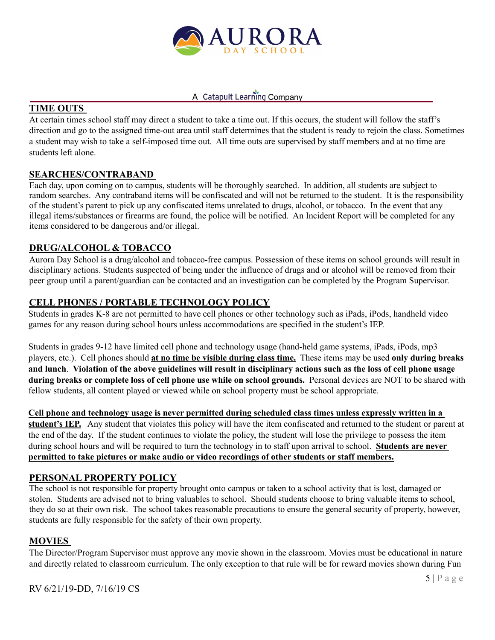

# **TIME OUTS**

At certain times school staff may direct a student to take a time out. If this occurs, the student will follow the staff's direction and go to the assigned time-out area until staff determines that the student is ready to rejoin the class. Sometimes a student may wish to take a self-imposed time out. All time outs are supervised by staff members and at no time are students left alone.

### **SEARCHES/CONTRABAND**

Each day, upon coming on to campus, students will be thoroughly searched. In addition, all students are subject to random searches. Any contraband items will be confiscated and will not be returned to the student. It is the responsibility of the student's parent to pick up any confiscated items unrelated to drugs, alcohol, or tobacco. In the event that any illegal items/substances or firearms are found, the police will be notified. An Incident Report will be completed for any items considered to be dangerous and/or illegal.

### **DRUG/ALCOHOL & TOBACCO**

Aurora Day School is a drug/alcohol and tobacco-free campus. Possession of these items on school grounds will result in disciplinary actions. Students suspected of being under the influence of drugs and or alcohol will be removed from their peer group until a parent/guardian can be contacted and an investigation can be completed by the Program Supervisor.

## **CELL PHONES / PORTABLE TECHNOLOGY POLICY**

Students in grades K-8 are not permitted to have cell phones or other technology such as iPads, iPods, handheld video games for any reason during school hours unless accommodations are specified in the student's IEP.

Students in grades 9-12 have limited cell phone and technology usage (hand-held game systems, iPads, iPods, mp3 players, etc.). Cell phones should **at no time be visible during class time.** These items may be used **only during breaks and lunch**. **Violation of the above guidelines will result in disciplinary actions such as the loss of cell phone usage during breaks or complete loss of cell phone use while on school grounds.** Personal devices are NOT to be shared with fellow students, all content played or viewed while on school property must be school appropriate.

**Cell phone and technology usage is never permitted during scheduled class times unless expressly written in a student's IEP.** Any student that violates this policy will have the item confiscated and returned to the student or parent at the end of the day. If the student continues to violate the policy, the student will lose the privilege to possess the item during school hours and will be required to turn the technology in to staff upon arrival to school. **Students are never permitted to take pictures or make audio or video recordings of other students or staff members.**

## **PERSONAL PROPERTY POLICY**

The school is not responsible for property brought onto campus or taken to a school activity that is lost, damaged or stolen. Students are advised not to bring valuables to school. Should students choose to bring valuable items to school, they do so at their own risk. The school takes reasonable precautions to ensure the general security of property, however, students are fully responsible for the safety of their own property.

### **MOVIES**

The Director/Program Supervisor must approve any movie shown in the classroom. Movies must be educational in nature and directly related to classroom curriculum. The only exception to that rule will be for reward movies shown during Fun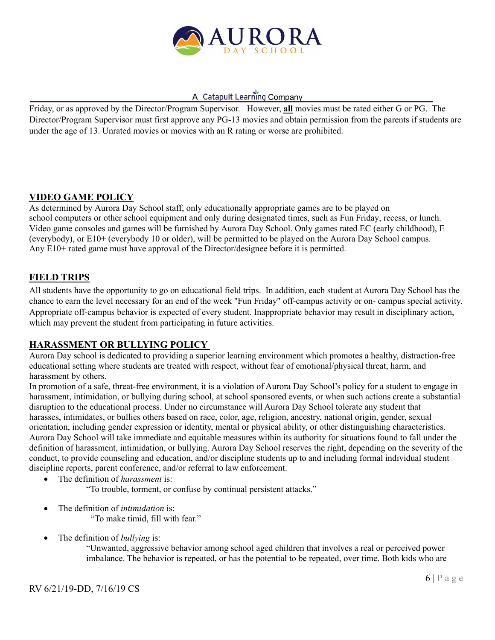

Friday, or as approved by the Director/Program Supervisor. However, **all** movies must be rated either G or PG. The Director/Program Supervisor must first approve any PG-13 movies and obtain permission from the parents if students are under the age of 13. Unrated movies or movies with an R rating or worse are prohibited.

## **VIDEO GAME POLICY**

As determined by Aurora Day School staff, only educationally appropriate games are to be played on school computers or other school equipment and only during designated times, such as Fun Friday, recess, or lunch. Video game consoles and games will be furnished by Aurora Day School. Only games rated EC (early childhood), E (everybody), or E10+ (everybody 10 or older), will be permitted to be played on the Aurora Day School campus. Any E10+ rated game must have approval of the Director/designee before it is permitted.

## **FIELD TRIPS**

All students have the opportunity to go on educational field trips. In addition, each student at Aurora Day School has the chance to earn the level necessary for an end of the week "Fun Friday" off-campus activity or on- campus special activity. Appropriate off-campus behavior is expected of every student. Inappropriate behavior may result in disciplinary action, which may prevent the student from participating in future activities.

## **HARASSMENT OR BULLYING POLICY**

Aurora Day school is dedicated to providing a superior learning environment which promotes a healthy, distraction-free educational setting where students are treated with respect, without fear of emotional/physical threat, harm, and harassment by others.

In promotion of a safe, threat-free environment, it is a violation of Aurora Day School's policy for a student to engage in harassment, intimidation, or bullying during school, at school sponsored events, or when such actions create a substantial disruption to the educational process. Under no circumstance will Aurora Day School tolerate any student that harasses, intimidates, or bullies others based on race, color, age, religion, ancestry, national origin, gender, sexual orientation, including gender expression or identity, mental or physical ability, or other distinguishing characteristics. Aurora Day School will take immediate and equitable measures within its authority for situations found to fall under the definition of harassment, intimidation, or bullying. Aurora Day School reserves the right, depending on the severity of the conduct, to provide counseling and education, and/or discipline students up to and including formal individual student discipline reports, parent conference, and/or referral to law enforcement.

- The definition of *harassment* is:
	- "To trouble, torment, or confuse by continual persistent attacks."
- The definition of *intimidation* is:
	- "To make timid, fill with fear."
- The definition of *bullying* is:

"Unwanted, aggressive behavior among school aged children that involves a real or perceived power imbalance. The behavior is repeated, or has the potential to be repeated, over time. Both kids who are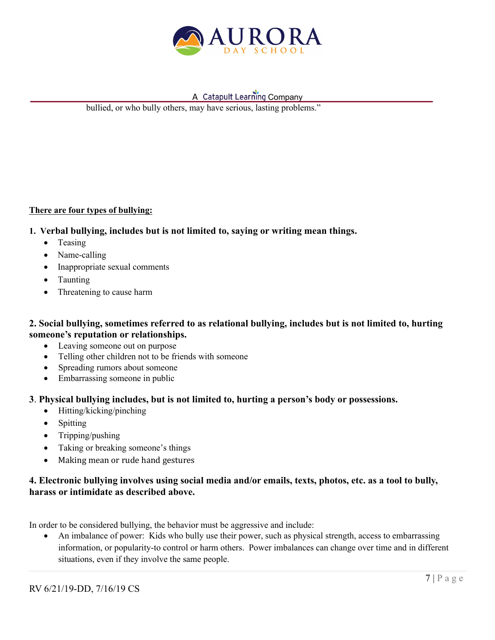

bullied, or who bully others, may have serious, lasting problems."

#### **There are four types of bullying:**

- **1. Verbal bullying, includes but is not limited to, saying or writing mean things.**
	- Teasing
	- Name-calling
	- Inappropriate sexual comments
	- Taunting
	- Threatening to cause harm

### **2. Social bullying, sometimes referred to as relational bullying, includes but is not limited to, hurting someone's reputation or relationships.**

- Leaving someone out on purpose
- Telling other children not to be friends with someone
- Spreading rumors about someone
- Embarrassing someone in public

### **3**. **Physical bullying includes, but is not limited to, hurting a person's body or possessions.**

- Hitting/kicking/pinching
- Spitting
- Tripping/pushing
- Taking or breaking someone's things
- Making mean or rude hand gestures

## **4. Electronic bullying involves using social media and/or emails, texts, photos, etc. as a tool to bully, harass or intimidate as described above.**

In order to be considered bullying, the behavior must be aggressive and include:

• An imbalance of power: Kids who bully use their power, such as physical strength, access to embarrassing information, or popularity-to control or harm others. Power imbalances can change over time and in different situations, even if they involve the same people.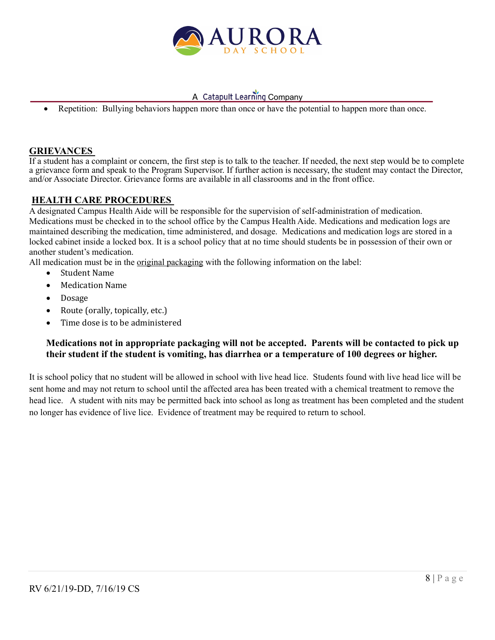

Repetition: Bullying behaviors happen more than once or have the potential to happen more than once.

### **GRIEVANCES**

If a student has a complaint or concern, the first step is to talk to the teacher. If needed, the next step would be to complete a grievance form and speak to the Program Supervisor. If further action is necessary, the student may contact the Director, and/or Associate Director. Grievance forms are available in all classrooms and in the front office.

### **HEALTH CARE PROCEDURES**

A designated Campus Health Aide will be responsible for the supervision of self-administration of medication. Medications must be checked in to the school office by the Campus Health Aide. Medications and medication logs are maintained describing the medication, time administered, and dosage. Medications and medication logs are stored in a locked cabinet inside a locked box. It is a school policy that at no time should students be in possession of their own or another student's medication.

All medication must be in the original packaging with the following information on the label:

- Student Name
- Medication Name
- Dosage
- Route (orally, topically, etc.)
- Time dose is to be administered

### **Medications not in appropriate packaging will not be accepted. Parents will be contacted to pick up their student if the student is vomiting, has diarrhea or a temperature of 100 degrees or higher.**

It is school policy that no student will be allowed in school with live head lice. Students found with live head lice will be sent home and may not return to school until the affected area has been treated with a chemical treatment to remove the head lice. A student with nits may be permitted back into school as long as treatment has been completed and the student no longer has evidence of live lice. Evidence of treatment may be required to return to school.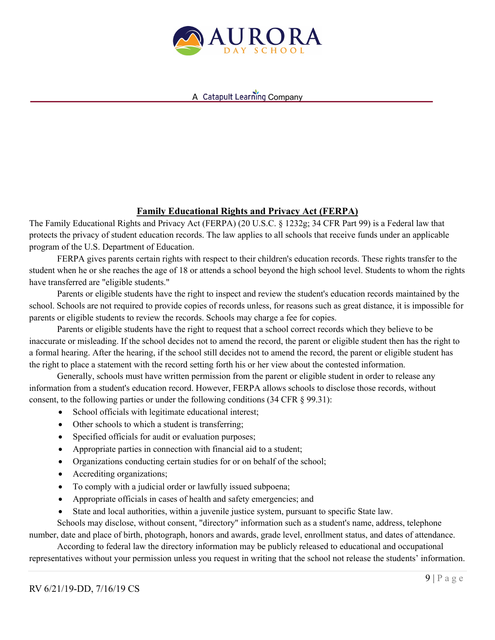

## **Family Educational Rights and Privacy Act (FERPA)**

The Family Educational Rights and Privacy Act (FERPA) (20 U.S.C. § 1232g; 34 CFR Part 99) is a Federal law that protects the privacy of student education records. The law applies to all schools that receive funds under an applicable program of the U.S. Department of Education.

FERPA gives parents certain rights with respect to their children's education records. These rights transfer to the student when he or she reaches the age of 18 or attends a school beyond the high school level. Students to whom the rights have transferred are "eligible students."

Parents or eligible students have the right to inspect and review the student's education records maintained by the school. Schools are not required to provide copies of records unless, for reasons such as great distance, it is impossible for parents or eligible students to review the records. Schools may charge a fee for copies.

Parents or eligible students have the right to request that a school correct records which they believe to be inaccurate or misleading. If the school decides not to amend the record, the parent or eligible student then has the right to a formal hearing. After the hearing, if the school still decides not to amend the record, the parent or eligible student has the right to place a statement with the record setting forth his or her view about the contested information.

Generally, schools must have written permission from the parent or eligible student in order to release any information from a student's education record. However, FERPA allows schools to disclose those records, without consent, to the following parties or under the following conditions (34 CFR § 99.31):

- School officials with legitimate educational interest;
- Other schools to which a student is transferring;
- Specified officials for audit or evaluation purposes;
- Appropriate parties in connection with financial aid to a student;
- Organizations conducting certain studies for or on behalf of the school;
- Accrediting organizations;
- To comply with a judicial order or lawfully issued subpoena;
- Appropriate officials in cases of health and safety emergencies; and
- State and local authorities, within a juvenile justice system, pursuant to specific State law.

Schools may disclose, without consent, "directory" information such as a student's name, address, telephone number, date and place of birth, photograph, honors and awards, grade level, enrollment status, and dates of attendance.

According to federal law the directory information may be publicly released to educational and occupational representatives without your permission unless you request in writing that the school not release the students' information.